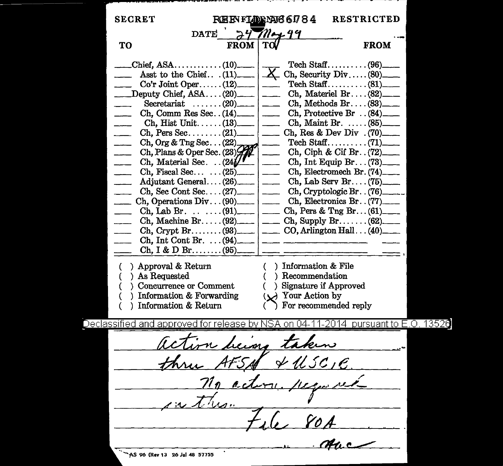| <b>SECRET</b>                                        | <b>RESTRICTED</b><br><b>REEVILORING 6784</b>                                                |
|------------------------------------------------------|---------------------------------------------------------------------------------------------|
|                                                      | DATE $24$ May 99                                                                            |
| <b>FROM</b><br>TO                                    | <b>FROM</b>                                                                                 |
|                                                      |                                                                                             |
|                                                      | Asst to the Chief. $(11)$ $X$ Ch, Security Div $(80)$                                       |
|                                                      | Tech Staff(81)                                                                              |
| $\Box$ Deputy Chief, ASA(20) $\Box$                  | Ch, Materiel Br $(82)$ <sub>___</sub>                                                       |
|                                                      |                                                                                             |
|                                                      | Ch, Comm Res Sec. $(14)$ ______ ch, Protective Br $(84)$ ____                               |
|                                                      |                                                                                             |
| $\overline{\phantom{a}}$                             |                                                                                             |
| Ch, Org & Tng Sec (22)<br>Ch, Plans & Oper Sec. (23) |                                                                                             |
| $\overline{\phantom{0}}$                             | Ch, Ciph & Cif Br. $(72)$                                                                   |
| $\sim$                                               | Ch, Material Sec. $\therefore$ (24) $\sqrt{r}$ $\qquad$ Ch, Int Equip Br. $\therefore$ (73) |
| $\overline{\phantom{0}}$                             | Ch, Fiscal Sec $\ldots$ (25) $\ldots$ Ch, Electromech Br. (74)                              |
| $\overline{\phantom{a}}$                             | Adjutant General $(26)$ [100] Ch, Lab Serv Br $(75)$                                        |
| $\sim$                                               | Ch, Sec Cont Sec $(27)$ ______ Ch, Cryptologic Br $(76)$ _____                              |
| $\sim$                                               | Ch, Operations Div $(90)$ [ Ch, Electronics Br $(77)$ ]                                     |
|                                                      | Ch, Lab Br. (91) _____   _____ Ch, Pers & Tng Br. (61)_____                                 |
|                                                      | Ch, Machine Br(92) ____   ____ Ch, Supply Br(62) ____                                       |
| $\overline{\phantom{a}}$                             |                                                                                             |
|                                                      | Ch, Int Cont Br. $\ldots$ (94)                                                              |
|                                                      |                                                                                             |
|                                                      |                                                                                             |
| ) Approval & Return                                  | ) Information & File<br>C -                                                                 |
| ) As Requested                                       | ) Recommendation                                                                            |
| Concurrence or Comment                               | ) Signature if Approved                                                                     |
| ) Information & Forwarding                           | $(\vee)$ Your Action by                                                                     |
| Information & Return                                 | For recommended reply                                                                       |
|                                                      | eclassified and approved for release by NSA on 04-11-2014  pursuant to E.O                  |
| action heimy to                                      |                                                                                             |
| 47 S AF                                              | $*usc_ie$                                                                                   |
|                                                      | <u>act</u><br><u>Lipos</u>                                                                  |
|                                                      |                                                                                             |
|                                                      |                                                                                             |
|                                                      |                                                                                             |
|                                                      |                                                                                             |
| AS 96 (Rev 13 26 Jul 48 57755)                       |                                                                                             |

D۱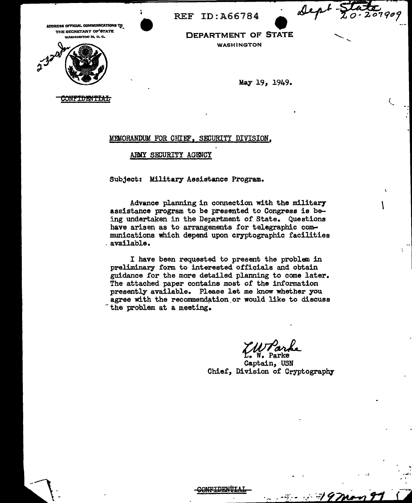{ ·-

 $\mathbf{I}$ 

. ; ........

'''<br>'' '

THE SECRETARY OF<sup>1</sup>STATE<br>• WASHINGTON 25, D. C.



ADDRESS OFFICIAL COMMUNICATIONS TO AND THE SECRETARY OF STATE<br>
THE SECRETARY OF STATE<br>
WASHINGTON 25, D.C.<br>
WASHINGTON **DEPARTMENT OF STATE** WASHINGTON

REF ID:A66784

May 19, 1949.

ONFIDENT<del>IAL</del>

## MEMORANDUM FOR CHIEF, SECURITY DIVISION,

ARMY SECURITY AGENCY

Subject: Military Assistance Program.

Advance planning in connection with the military assistance program to be presented to Congress is being undertaken in the Department of State. Questions have arisen as to arrangements for telegraphic communications which depend upon cryptographic facilities . available.

I have been requested to present the problem in preliminary form to interested officials and obtain guidance for the more detailed planning to come later. The attached paper contains most of the information presently available. Please let me know whether you agree with the recommendation or would like to discuss the problem at a meeting.

Captain, USN Chief, Division of Cryptography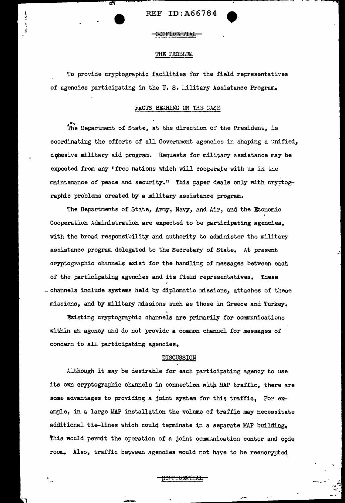REF ID:A66784

)<br>Y

# THE FROBLEM

To provide cryptographic facilities for the field representatives of agencies participating in the U.S. ..ilitary Assistance Program.

# FACTS BEARING ON THE CASE

The Department of State, at the direction of the President, is coordinating the efforts of all Government agencies in shaping a unified, cqhesive military aid program. Requests for military assistance may be expected from any "free nations which will cooperate with us in the maintenance of peace and security." This paper deals only with cryptographic problems created by a military assistance program.

The Departments of State, Army, Navy, and Air, and the Economic Cooperation Administration are expected to be participating agencies, with the broad responsibility and authority to administer the military assistance program delegated to the Secretary of State. At present cryptographic channels exist for the handling of messages between each of the participating agencies and its field representatives. These channels include systems held by diplomatic missions, attaches of these missions, and by military missions such as those in Greece and Turkey.

Existing cryptographic channels are primarily for communications within an agency and do not provide a common channel for messages of concern to all participating agencies.

## DISCUSSION

Although it may be desirable for each participating agency to use its own cryptographic channels in connection with MAP traffic, there are some advantages to providing a joint system for this traffic. For example, in a large MAP installation the volume of traffic may necessitate additional tie-lines which could terminate in a separate MAP building, This would permit the operation of a joint communication center and code room, Also, traffic between agencies would not have to be reencrypteq

<u>COMPIDENTIAL</u>

.\_

--·~ ....